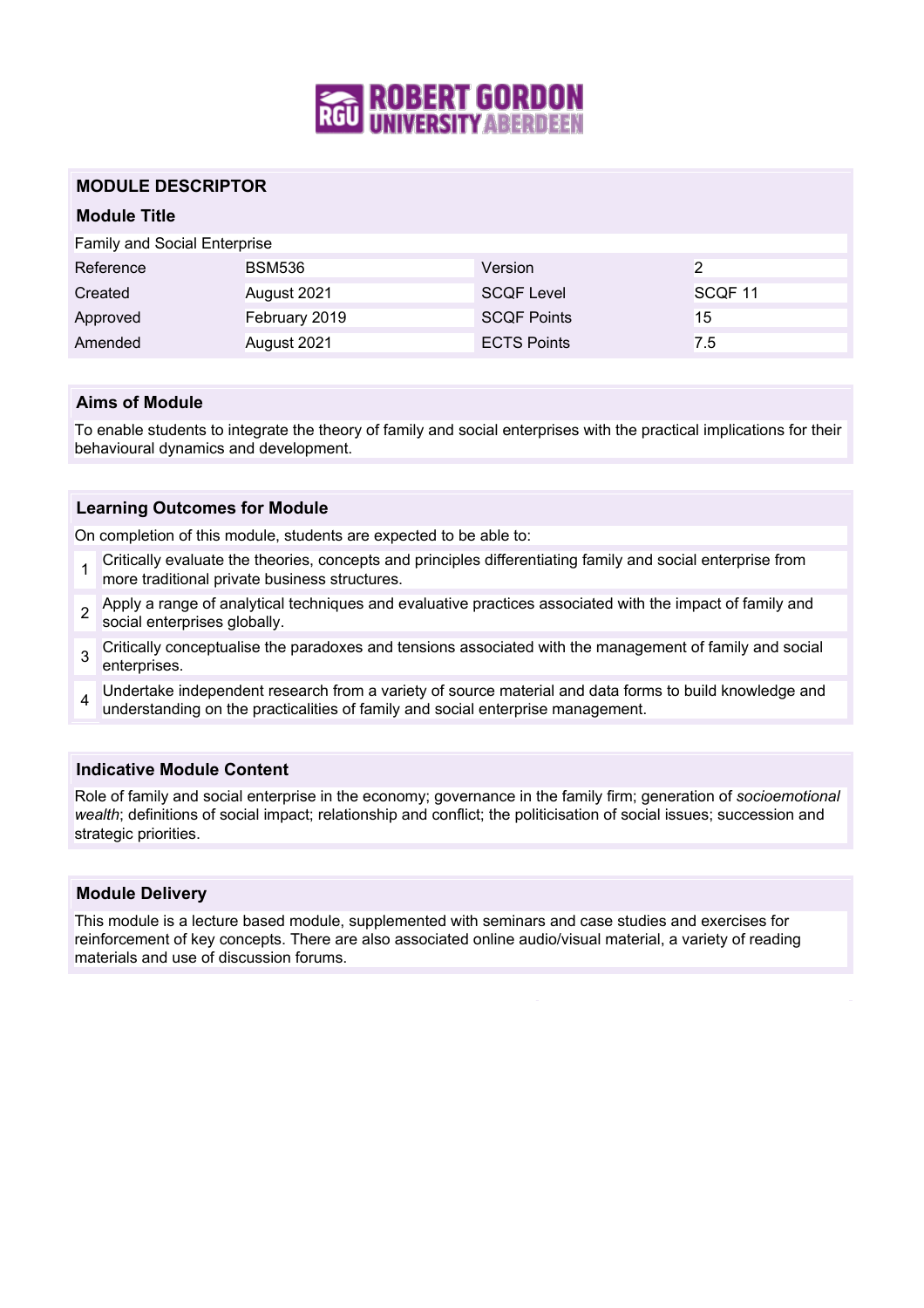

# **MODULE DESCRIPTOR**

# **Module Title**

Family and Social Enterprise

| Reference | <b>BSM536</b> | Version            |                    |
|-----------|---------------|--------------------|--------------------|
| Created   | August 2021   | <b>SCQF Level</b>  | SCOF <sub>11</sub> |
| Approved  | February 2019 | <b>SCOF Points</b> | 15                 |
| Amended   | August 2021   | <b>ECTS Points</b> | 7.5                |

### **Aims of Module**

To enable students to integrate the theory of family and social enterprises with the practical implications for their behavioural dynamics and development.

### **Learning Outcomes for Module**

On completion of this module, students are expected to be able to:

- 1 Critically evaluate the theories, concepts and principles differentiating family and social enterprise from more traditional private business structures.
- 2 Apply a range of analytical techniques and evaluative practices associated with the impact of family and social enterprises globally.
- 3 Critically conceptualise the paradoxes and tensions associated with the management of family and social enterprises.
- 4 Undertake independent research from a variety of source material and data forms to build knowledge and understanding on the practicalities of family and social enterprise management.

#### **Indicative Module Content**

Role of family and social enterprise in the economy; governance in the family firm; generation of *socioemotional wealth*; definitions of social impact; relationship and conflict; the politicisation of social issues; succession and strategic priorities.

#### **Module Delivery**

This module is a lecture based module, supplemented with seminars and case studies and exercises for reinforcement of key concepts. There are also associated online audio/visual material, a variety of reading materials and use of discussion forums.